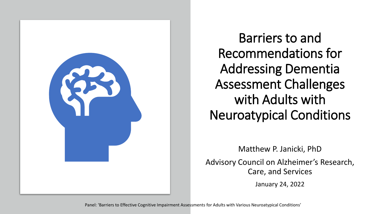

Barriers to and Recommendations for Addressing Dementia Assessment Challenges with Adults with Neuroatypical Conditions

Matthew P. Janicki, PhD Advisory Council on Alzheimer's Research, Care, and Services

January 24, 2022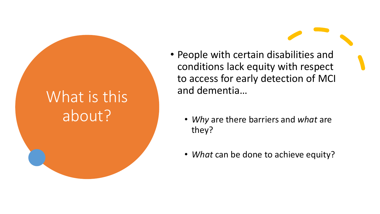### What is this about?

- People with certain disabilities and conditions lack equity with respect to access for early detection of MCI and dementia…
	- *Why* are there barriers and *what* are they?
	- *What* can be done to achieve equity?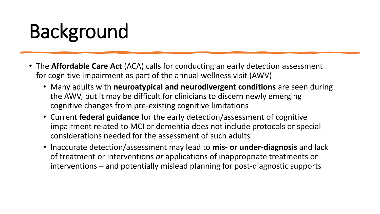# Background

- The **Affordable Care Act** (ACA) calls for conducting an early detection assessment for cognitive impairment as part of the annual wellness visit (AWV)
	- Many adults with **neuroatypical and neurodivergent conditions** are seen during the AWV, but it may be difficult for clinicians to discern newly emerging cognitive changes from pre-existing cognitive limitations
	- Current **federal guidance** for the early detection/assessment of cognitive impairment related to MCI or dementia does not include protocols or special considerations needed for the assessment of such adults
	- Inaccurate detection/assessment may lead to **mis- or under-diagnosis** and lack of treatment or interventions *or* applications of inappropriate treatments or interventions – and potentially mislead planning for post-diagnostic supports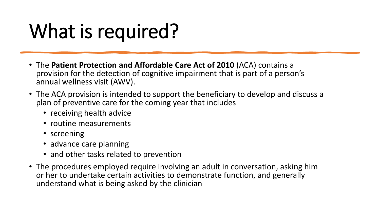## What is required?

- The **Patient Protection and Affordable Care Act of 2010** (ACA) contains a provision for the detection of cognitive impairment that is part of a person's annual wellness visit (AWV).
- The ACA provision is intended to support the beneficiary to develop and discuss a plan of preventive care for the coming year that includes
	- receiving health advice
	- routine measurements
	- screening
	- advance care planning
	- and other tasks related to prevention
- The procedures employed require involving an adult in conversation, asking him or her to undertake certain activities to demonstrate function, and generally understand what is being asked by the clinician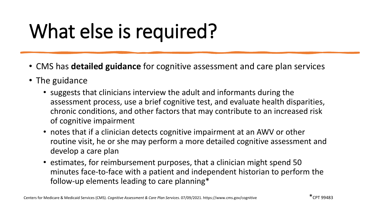# What else is required?

- CMS has **detailed guidance** for cognitive assessment and care plan services
- The guidance
	- suggests that clinicians interview the adult and informants during the assessment process, use a brief cognitive test, and evaluate health disparities, chronic conditions, and other factors that may contribute to an increased risk of cognitive impairment
	- notes that if a clinician detects cognitive impairment at an AWV or other routine visit, he or she may perform a more detailed cognitive assessment and develop a care plan
	- estimates, for reimbursement purposes, that a clinician might spend 50 minutes face-to-face with a patient and independent historian to perform the follow-up elements leading to care planning\*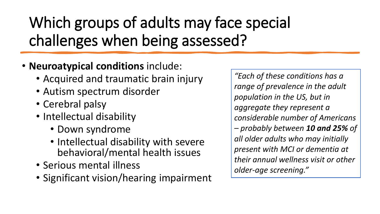Which groups of adults may face special challenges when being assessed?

- **Neuroatypical conditions** include:
	- Acquired and traumatic brain injury
	- Autism spectrum disorder
	- Cerebral palsy
	- Intellectual disability
		- Down syndrome
		- Intellectual disability with severe behavioral/mental health issues
	- Serious mental illness
	- Significant vision/hearing impairment

*"Each of these conditions has a range of prevalence in the adult population in the US, but in aggregate they represent a considerable number of Americans – probably between 10 and 25% of all older adults who may initially present with MCI or dementia at their annual wellness visit or other older-age screening."*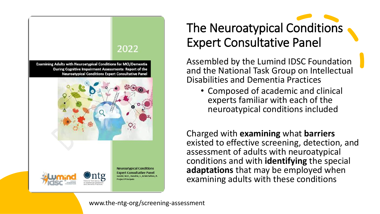

### The Neuroatypical Conditions Expert Consultative Panel

Assembled by the Lumind IDSC Foundation and the National Task Group on Intellectual Disabilities and Dementia Practices

• Composed of academic and clinical experts familiar with each of the neuroatypical conditions included

Charged with **examining** what **barriers** existed to effective screening, detection, and assessment of adults with neuroatypical conditions and with **identifying** the special **adaptations** that may be employed when examining adults with these conditions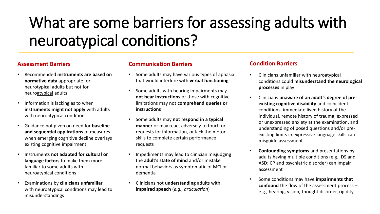### What are some barriers for assessing adults with neuroatypical conditions?

#### **Assessment Barriers**

- Recommended **instruments are based on normative data** appropriate for neurotypical adults but not for neuroatypical adults
- Information is lacking as to when **instruments might not apply** with adults with neuroatypical conditions
- Guidance not given on need for **baseline and sequential applications** of measures when emerging cognitive decline overlays existing cognitive impairment
- Instruments **not adapted for cultural or language factors** to make them more familiar to some adults with neuroatypical conditions
- Examinations by **clinicians unfamiliar**  with neuroatypical conditions may lead to misunderstandings

#### **Communication Barriers**

- Some adults may have various types of aphasia that would interfere with **verbal functioning**
- Some adults with hearing impairments may **not hear instructions** or those with cognitive limitations may not **comprehend queries or instructions**
- Some adults may **not respond in a typical manner** or may react adversely to touch or requests for information, or lack the motor skills to complete certain performance requests
- Impediments may lead to clinician misjudging the **adult's state of mind** and/or mistake normal behaviors as symptomatic of MCI or dementia
- Clinicians not **understanding** adults with **impaired speech** (*e.g., articulation*)

#### **Condition Barriers**

- Clinicians unfamiliar with neuroatypical conditions could **misunderstand the neurological processes** in play
- Clinicians **unaware of an adult's degree of preexisting cognitive disability** and coincident conditions, immediate lived history of the individual, remote history of trauma, expressed or unexpressed anxiety at the examination, and understanding of posed questions and/or preexisting limits in expressive language skills can misguide assessment
- **Confounding symptoms** and presentations by adults having multiple conditions (e.g., DS and ASD; CP and psychiatric disorder) can impair assessment
- Some conditions may have **impairments that confound** the flow of the assessment process – e.g., hearing, vision, thought disorder, rigidity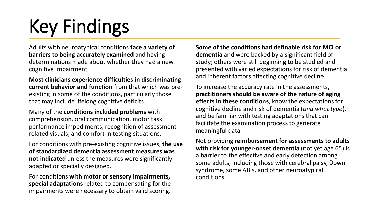# Key Findings

Adults with neuroatypical conditions **face a variety of barriers to being accurately examined** and having determinations made about whether they had a new cognitive impairment.

**Most clinicians experience difficulties in discriminating current behavior and function** from that which was preexisting in some of the conditions, particularly those that may include lifelong cognitive deficits.

Many of the **conditions included problems** with comprehension, oral communication, motor task performance impediments, recognition of assessment related visuals, and comfort in testing situations.

For conditions with pre-existing cognitive issues, **the use of standardized dementia assessment measures was not indicated** unless the measures were significantly adapted or specially designed.

For conditions **with motor or sensory impairments, special adaptations** related to compensating for the impairments were necessary to obtain valid scoring.

**Some of the conditions had definable risk for MCI or dementia** and were backed by a significant field of study; others were still beginning to be studied and presented with varied expectations for risk of dementia and inherent factors affecting cognitive decline.

To increase the accuracy rate in the assessments, **practitioners should be aware of the nature of aging effects in these conditions**, know the expectations for cognitive decline and risk of dementia (*and what type*), and be familiar with testing adaptations that can facilitate the examination process to generate meaningful data.

Not providing **reimbursement for assessments to adults with risk for younger-onset dementia** (not yet age 65) is a **barrier** to the effective and early detection among some adults, including those with cerebral palsy, Down syndrome, some ABIs, and other neuroatypical conditions.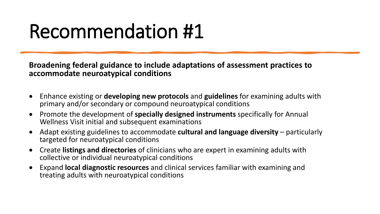## Recommendation #1

**Broadening federal guidance to include adaptations of assessment practices to accommodate neuroatypical conditions** 

- Enhance existing or **developing new protocols** and **guidelines** for examining adults with primary and/or secondary or compound neuroatypical conditions
- Promote the development of **specially designed instruments** specifically for Annual Wellness Visit initial and subsequent examinations
- Adapt existing guidelines to accommodate **cultural and language diversity**  particularly targeted for neuroatypical conditions
- Create **listings and directories** of clinicians who are expert in examining adults with collective or individual neuroatypical conditions
- Expand **local diagnostic resources** and clinical services familiar with examining and treating adults with neuroatypical conditions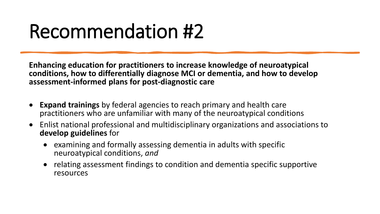## Recommendation #2

**Enhancing education for practitioners to increase knowledge of neuroatypical conditions, how to differentially diagnose MCI or dementia, and how to develop assessment-informed plans for post-diagnostic care**

- **Expand trainings** by federal agencies to reach primary and health care practitioners who are unfamiliar with many of the neuroatypical conditions
- Enlist national professional and multidisciplinary organizations and associations to **develop guidelines** for
	- examining and formally assessing dementia in adults with specific neuroatypical conditions, *and*
	- relating assessment findings to condition and dementia specific supportive resources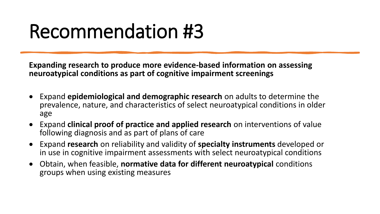## Recommendation #3

**Expanding research to produce more evidence-based information on assessing neuroatypical conditions as part of cognitive impairment screenings**

- Expand **epidemiological and demographic research** on adults to determine the prevalence, nature, and characteristics of select neuroatypical conditions in older age
- Expand **clinical proof of practice and applied research** on interventions of value following diagnosis and as part of plans of care
- Expand **research** on reliability and validity of **specialty instruments** developed or in use in cognitive impairment assessments with select neuroatypical conditions
- Obtain, when feasible, **normative data for different neuroatypical** conditions groups when using existing measures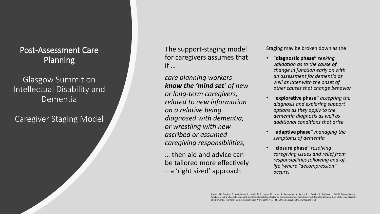#### Post-Assessment Care Planning

#### Glasgow Summit on Intellectual Disability and Dementia

#### Caregiver Staging Model

The support-staging model for caregivers assumes that if …

*care planning workers know the 'mind set' of new or long-term caregivers, related to new information on a relative being diagnosed with dementia, or wrestling with new ascribed or assumed caregiving responsibilities,* 

… then aid and advice can be tailored more effectively – a 'right sized' approach

Staging may be broken down as the:

- "**diagnostic phase"** *seeking validation as to the cause of change in function early on with an assessment for dementia as well as later with the onset of other causes that change behavior*
- "**explorative phase"** *accepting the diagnosis and exploring support options as they apply to the dementia diagnosis as well as additional conditions that arise*
- "**adaptive phase**" *managing the symptoms of dementia*
- "**closure phase"** *resolving caregiving issues and relief from responsibilities following end-oflife (where "decompression" occurs)*

Jokinen, N., Gomiero, T., Watchman, K., Janicki, M.P., Hogan, M., Larsen, F., Berankova, A., Santos, F.H., Service, K., & Crowe, J. (2018). Perspectives on family caregiving of people aging with intellectual disability affected by dementia: Commentary from the International Summit on Intellectual Disability and Dementia. Journal of Gerontological Social Work, 61(4), 411-431. DOI: 10.1080/01634372.2018.1454563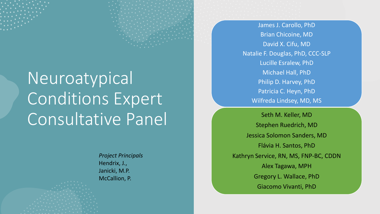## Neuroatypical Conditions Expert Consultative Panel

*Project Principals* Hendrix, J., Janicki, M.P. McCallion, P.

James J. Carollo, PhD Brian Chicoine, MD David X. Cifu, MD Natalie F. Douglas, PhD, CCC-SLP Lucille Esralew, PhD Michael Hall, PhD Philip D. Harvey, PhD Patricia C. Heyn, PhD Wilfreda Lindsey, MD, MS

Seth M. Keller, MD Stephen Ruedrich, MD Jessica Solomon Sanders, MD Flávia H. Santos, PhD Kathryn Service, RN, MS, FNP-BC, CDDN Alex Tagawa, MPH Gregory L. Wallace, PhD Giacomo Vivanti, PhD